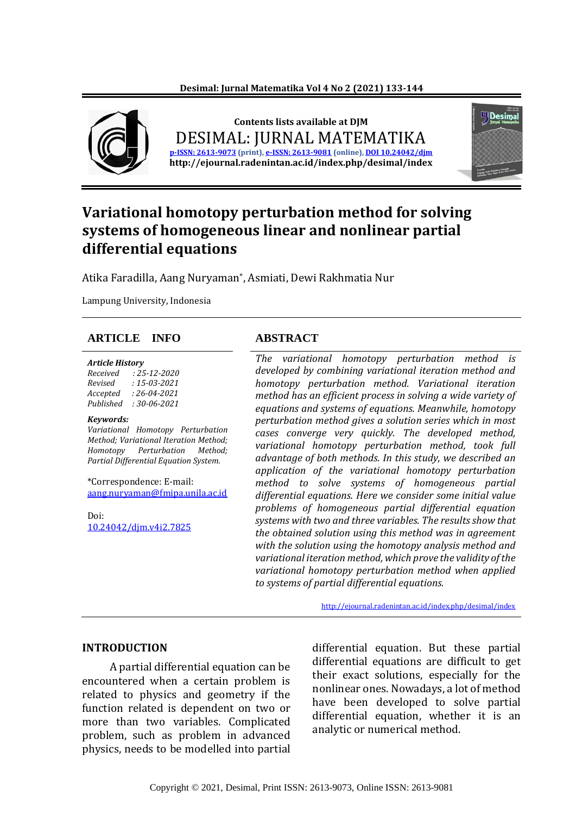

# **Variational homotopy perturbation method for solving systems of homogeneous linear and nonlinear partial differential equations**

Atika Faradilla, Aang Nuryaman\* , Asmiati, Dewi Rakhmatia Nur

Lampung University, Indonesia

#### **ARTICLE INFO ABSTRACT**

#### *Article History*

*Received : 25-12-2020 Revised : 15-03-2021 Accepted : 26-04-2021 Published : 30-06-2021*

#### *Keywords:*

*Variational Homotopy Perturbation Method; Variational Iteration Method; Homotopy Perturbation Method; Partial Differential Equation System.*

\*Correspondence: E-mail: [aang.nuryaman@fmipa.unila.ac.id](mailto:aang.nuryaman@fmipa.unila.ac.id)

Doi: 10.24042/djm.v4i2.7825

*The variational homotopy perturbation method is developed by combining variational iteration method and homotopy perturbation method. Variational iteration method has an efficient process in solving a wide variety of equations and systems of equations. Meanwhile, homotopy perturbation method gives a solution series which in most cases converge very quickly. The developed method, variational homotopy perturbation method, took full advantage of both methods. In this study, we described an application of the variational homotopy perturbation method to solve systems of homogeneous partial differential equations. Here we consider some initial value problems of homogeneous partial differential equation systems with two and three variables. The results show that the obtained solution using this method was in agreement with the solution using the homotopy analysis method and variational iteration method, which prove the validity of the variational homotopy perturbation method when applied to systems of partial differential equations.*

<http://ejournal.radenintan.ac.id/index.php/desimal/index>

#### **INTRODUCTION**

A partial differential equation can be encountered when a certain problem is related to physics and geometry if the function related is dependent on two or more than two variables. Complicated problem, such as problem in advanced physics, needs to be modelled into partial

differential equation. But these partial differential equations are difficult to get their exact solutions, especially for the nonlinear ones. Nowadays, a lot of method have been developed to solve partial differential equation, whether it is an analytic or numerical method.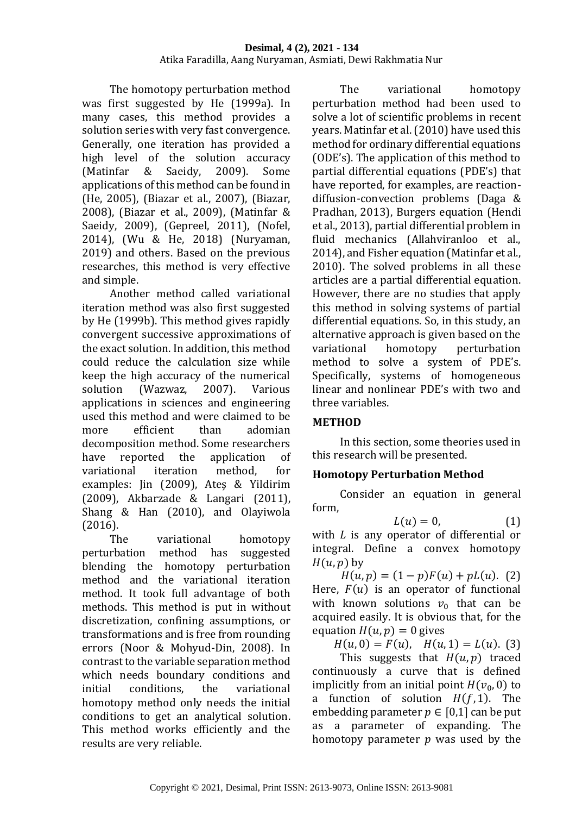#### **Desimal, 4 (2), 2021 - 134** Atika Faradilla, Aang Nuryaman, Asmiati, Dewi Rakhmatia Nur

The homotopy perturbation method was first suggested by He (1999a). In many cases, this method provides a solution series with very fast convergence. Generally, one iteration has provided a high level of the solution accuracy (Matinfar & Saeidy, 2009). Some applications of this method can be found in (He, 2005), (Biazar et al., 2007), (Biazar, 2008), (Biazar et al., 2009), (Matinfar & Saeidy, 2009), (Gepreel, 2011), (Nofel, 2014), (Wu & He, 2018) (Nuryaman, 2019) and others. Based on the previous researches, this method is very effective and simple.

Another method called variational iteration method was also first suggested by He (1999b). This method gives rapidly convergent successive approximations of the exact solution. In addition, this method could reduce the calculation size while keep the high accuracy of the numerical solution (Wazwaz, 2007). Various applications in sciences and engineering used this method and were claimed to be more efficient than adomian decomposition method. Some researchers have reported the application of variational iteration method, for examples: Jin (2009), Ateş & Yildirim (2009), Akbarzade & Langari (2011), Shang & Han (2010), and Olayiwola (2016).

The variational homotopy perturbation method has suggested blending the homotopy perturbation method and the variational iteration method. It took full advantage of both methods. This method is put in without discretization, confining assumptions, or transformations and is free from rounding errors (Noor & Mohyud-Din, 2008). In contrast to the variable separation method which needs boundary conditions and initial conditions, the variational homotopy method only needs the initial conditions to get an analytical solution. This method works efficiently and the results are very reliable.

The variational homotopy perturbation method had been used to solve a lot of scientific problems in recent years. Matinfar et al. (2010) have used this method for ordinary differential equations (ODE's). The application of this method to partial differential equations (PDE's) that have reported, for examples, are reactiondiffusion-convection problems (Daga & Pradhan, 2013), Burgers equation (Hendi et al., 2013), partial differential problem in fluid mechanics (Allahviranloo et al., 2014), and Fisher equation (Matinfar et al., 2010). The solved problems in all these articles are a partial differential equation. However, there are no studies that apply this method in solving systems of partial differential equations. So, in this study, an alternative approach is given based on the variational homotopy perturbation method to solve a system of PDE's. Specifically, systems of homogeneous linear and nonlinear PDE's with two and three variables.

# **METHOD**

In this section, some theories used in this research will be presented.

# **Homotopy Perturbation Method**

Consider an equation in general form,

$$
L(u) = 0,\t(1)
$$

with  $L$  is any operator of differential or integral. Define a convex homotopy  $H(u, p)$  by

 $H(u, p) = (1-p)F(u) + pL(u).$  (2) Here,  $F(u)$  is an operator of functional with known solutions  $v_0$  that can be acquired easily. It is obvious that, for the equation  $H(u, p) = 0$  gives

 $H(u, 0) = F(u), H(u, 1) = L(u).$  (3)

This suggests that  $H(u, p)$  traced continuously a curve that is defined implicitly from an initial point  $H(v_0, 0)$  to a function of solution  $H(f, 1)$ . The embedding parameter  $p \in [0,1]$  can be put as a parameter of expanding. The homotopy parameter  $p$  was used by the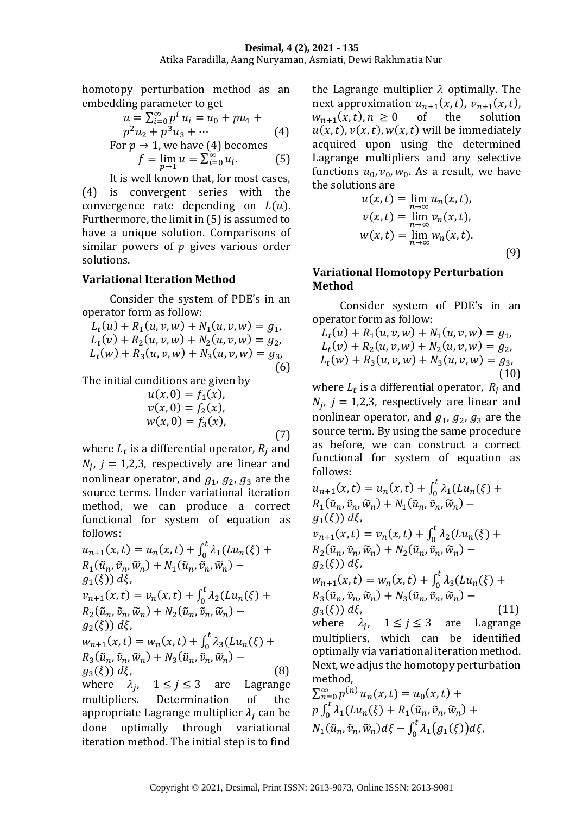homotopy perturbation method as an embedding parameter to get

$$
u = \sum_{i=0}^{\infty} p^i u_i = u_0 + pu_1 +
$$
  
\n
$$
p^2 u_2 + p^3 u_3 + \cdots
$$
  
\nFor  $p \to 1$ , we have (4) becomes

$$
f = \lim_{p \to 1} u = \sum_{i=0}^{\infty} u_i.
$$
 (5)

It is well known that, for most cases, (4) is convergent series with the convergence rate depending on  $L(u)$ . Furthermore, the limit in (5) is assumed to have a unique solution. Comparisons of similar powers of  $p$  gives various order solutions.

# **Variational Iteration Method**

Consider the system of PDE's in an operator form as follow:

 $L_t(u) + R_1(u, v, w) + N_1(u, v, w) = g_1,$  $L_t(v) + R_2(u, v, w) + N_2(u, v, w) = g_2,$  $L_t(w) + R_3(u, v, w) + N_3(u, v, w) = g_3,$ (6)

The initial conditions are given by

$$
u(x, 0) = f_1(x),\n v(x, 0) = f_2(x),\n w(x, 0) = f_3(x),
$$
\n(7)

where  $L_t$  is a differential operator,  $R_j$  and  $N_j$ ,  $j = 1,2,3$ , respectively are linear and nonlinear operator, and  $g_1$ ,  $g_2$ ,  $g_3$  are the source terms. Under variational iteration method, we can produce a correct functional for system of equation as follows:

$$
u_{n+1}(x,t) = u_n(x,t) + \int_0^t \lambda_1(Lu_n(\xi) + R_1(\tilde{u}_n, \tilde{v}_n, \tilde{w}_n) + N_1(\tilde{u}_n, \tilde{v}_n, \tilde{w}_n) - g_1(\xi) d\xi,
$$
  
\n
$$
v_{n+1}(x,t) = v_n(x,t) + \int_0^t \lambda_2(Lu_n(\xi) + R_2(\tilde{u}_n, \tilde{v}_n, \tilde{w}_n) - g_2(\xi) d\xi,
$$
  
\n
$$
w_{n+1}(x,t) = w_n(x,t) + \int_0^t \lambda_3(Lu_n(\xi) + R_3(\tilde{u}_n, \tilde{v}_n, \tilde{w}_n) + N_3(\tilde{u}_n, \tilde{v}_n, \tilde{w}_n) - g_3(\xi) d\xi,
$$
  
\n(8)

where  $\lambda_j$ ,  $1 \le j \le 3$  are Lagrange multipliers. Determination of the appropriate Lagrange multiplier  $\lambda_i$  can be done optimally through variational iteration method. The initial step is to find

the Lagrange multiplier  $\lambda$  optimally. The next approximation  $u_{n+1}(x,t)$ ,  $v_{n+1}(x,t)$ ,  $w_{n+1}(x, t), n \ge 0$  of the solution  $u(x, t)$ ,  $v(x, t)$ ,  $w(x, t)$  will be immediately acquired upon using the determined Lagrange multipliers and any selective functions  $u_0$ ,  $v_0$ ,  $w_0$ . As a result, we have the solutions are

$$
u(x,t) = \lim_{n \to \infty} u_n(x,t),
$$
  
\n
$$
v(x,t) = \lim_{n \to \infty} v_n(x,t),
$$
  
\n
$$
w(x,t) = \lim_{n \to \infty} w_n(x,t).
$$
  
\n(9)

# **Variational Homotopy Perturbation Method**

Consider system of PDE's in an operator form as follow:

$$
L_t(u) + R_1(u, v, w) + N_1(u, v, w) = g_1,
$$
  
\n
$$
L_t(v) + R_2(u, v, w) + N_2(u, v, w) = g_2,
$$
  
\n
$$
L_t(w) + R_3(u, v, w) + N_3(u, v, w) = g_3,
$$
  
\n(10)

where  $L_t$  is a differential operator,  $R_j$  and  $N_j$ ,  $j = 1,2,3$ , respectively are linear and nonlinear operator, and  $g_1$ ,  $g_2$ ,  $g_3$  are the source term. By using the same procedure as before, we can construct a correct functional for system of equation as follows:

$$
u_{n+1}(x, t) = u_n(x, t) + \int_0^t \lambda_1(Lu_n(\xi) + R_1(\tilde{u}_n, \tilde{v}_n, \tilde{w}_n) + N_1(\tilde{u}_n, \tilde{v}_n, \tilde{w}_n) - g_1(\xi) d\xi,
$$
  
\n
$$
v_{n+1}(x, t) = v_n(x, t) + \int_0^t \lambda_2(Lu_n(\xi) + R_2(\tilde{u}_n, \tilde{v}_n, \tilde{w}_n) + N_2(\tilde{u}_n, \tilde{v}_n, \tilde{w}_n) - g_2(\xi) d\xi,
$$
  
\n
$$
w_{n+1}(x, t) = w_n(x, t) + \int_0^t \lambda_3(Lu_n(\xi) + R_3(\tilde{u}_n, \tilde{v}_n, \tilde{w}_n) - g_3(\xi) d\xi,
$$
  
\nwhere  $\lambda_j, 1 \le j \le 3$  are Lagrange multipliers, which can be identified optimally via variational iteration method.  
\nNext, we adjust the homotopy perturbation method,  
\n
$$
\sum_{n=0}^{\infty} p^{(n)} u_n(x, t) = u_0(x, t) + p \int_0^t \lambda_1(Lu_n(\xi) + R_1(\tilde{u}_n, \tilde{v}_n, \tilde{w}_n) + N_1(\tilde{u}_n, \tilde{v}_n, \tilde{w}_n) d\xi - \int_0^t \lambda_1(g_1(\xi)) d\xi,
$$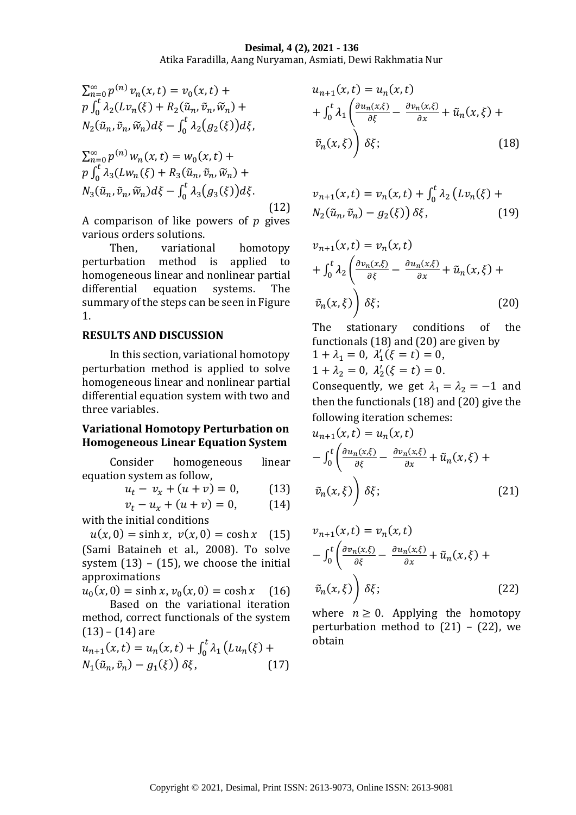#### **Desimal, 4 (2), 2021 - 136** Atika Faradilla, Aang Nuryaman, Asmiati, Dewi Rakhmatia Nur

$$
\sum_{n=0}^{\infty} p^{(n)} \nu_n(x, t) = \nu_0(x, t) +
$$
  
\n
$$
p \int_0^t \lambda_2(L\nu_n(\xi) + R_2(\tilde{u}_n, \tilde{v}_n, \tilde{w}_n) +
$$
  
\n
$$
N_2(\tilde{u}_n, \tilde{v}_n, \tilde{w}_n) d\xi - \int_0^t \lambda_2(g_2(\xi)) d\xi,
$$

$$
\sum_{n=0}^{\infty} p^{(n)} w_n(x, t) = w_0(x, t) +
$$
  
\n
$$
p \int_0^t \lambda_3(Lw_n(\xi) + R_3(\tilde{u}_n, \tilde{v}_n, \tilde{w}_n) +
$$
  
\n
$$
N_3(\tilde{u}_n, \tilde{v}_n, \tilde{w}_n) d\xi - \int_0^t \lambda_3(g_3(\xi)) d\xi.
$$
  
\n(12)

A comparison of like powers of  $p$  gives various orders solutions.

Then, variational homotopy perturbation method is applied to homogeneous linear and nonlinear partial differential equation systems. The summary of the steps can be seen in Figure 1.

#### **RESULTS AND DISCUSSION**

In this section, variational homotopy perturbation method is applied to solve homogeneous linear and nonlinear partial differential equation system with two and three variables.

#### **Variational Homotopy Perturbation on Homogeneous Linear Equation System**

Consider homogeneous linear equation system as follow,

$$
u_t - v_x + (u + v) = 0, \t(13)
$$

$$
v_t - u_x + (u + v) = 0, \t(14)
$$

with the initial conditions

 $u(x, 0) = \sinh x$ ,  $v(x, 0) = \cosh x$  (15) (Sami Bataineh et al., 2008). To solve system  $(13) - (15)$ , we choose the initial approximations

 $u_0(x, 0) = \sinh x, v_0(x, 0) = \cosh x$  (16) Based on the variational iteration

method, correct functionals of the system  $(13) - (14)$  are

$$
u_{n+1}(x,t) = u_n(x,t) + \int_0^t \lambda_1 \left( Lu_n(\xi) + N_1(\tilde{u}_n, \tilde{v}_n) - g_1(\xi) \right) \delta \xi, \tag{17}
$$

$$
u_{n+1}(x,t) = u_n(x,t)
$$
  
+ 
$$
\int_0^t \lambda_1 \left( \frac{\partial u_n(x,\xi)}{\partial \xi} - \frac{\partial v_n(x,\xi)}{\partial x} + \tilde{u}_n(x,\xi) + \tilde{v}_n(x,\xi) \right) \delta \xi;
$$
 (18)

$$
v_{n+1}(x,t) = v_n(x,t) + \int_0^t \lambda_2 (Lv_n(\xi) + N_2(\tilde{u}_n, \tilde{v}_n) - g_2(\xi)) \delta \xi,
$$
 (19)

$$
v_{n+1}(x,t) = v_n(x,t)
$$
  
+ 
$$
\int_0^t \lambda_2 \left( \frac{\partial v_n(x,\xi)}{\partial \xi} - \frac{\partial u_n(x,\xi)}{\partial x} + \tilde{u}_n(x,\xi) + \tilde{v}_n(x,\xi) \right)
$$
  

$$
\tilde{v}_n(x,\xi) \right) \delta \xi; \qquad (20)
$$

The stationary conditions of the functionals (18) and (20) are given by

$$
1 + \lambda_1 = 0, \ \lambda'_1(\xi = t) = 0, 1 + \lambda_2 = 0, \ \lambda'_2(\xi = t) = 0.
$$

Consequently, we get  $\lambda_1 = \lambda_2 = -1$  and then the functionals (18) and (20) give the following iteration schemes:

$$
u_{n+1}(x,t) = u_n(x,t)
$$
  

$$
- \int_0^t \left( \frac{\partial u_n(x,\xi)}{\partial \xi} - \frac{\partial v_n(x,\xi)}{\partial x} + \tilde{u}_n(x,\xi) + \tilde{v}_n(x,\xi) \right) \delta \xi;
$$
 (21)

$$
v_{n+1}(x,t) = v_n(x,t)
$$
  

$$
- \int_0^t \left( \frac{\partial v_n(x,\xi)}{\partial \xi} - \frac{\partial u_n(x,\xi)}{\partial x} + \tilde{u}_n(x,\xi) + \tilde{v}_n(x,\xi) \right) \delta \xi;
$$
 (22)

where  $n \geq 0$ . Applying the homotopy perturbation method to  $(21)$  –  $(22)$ , we obtain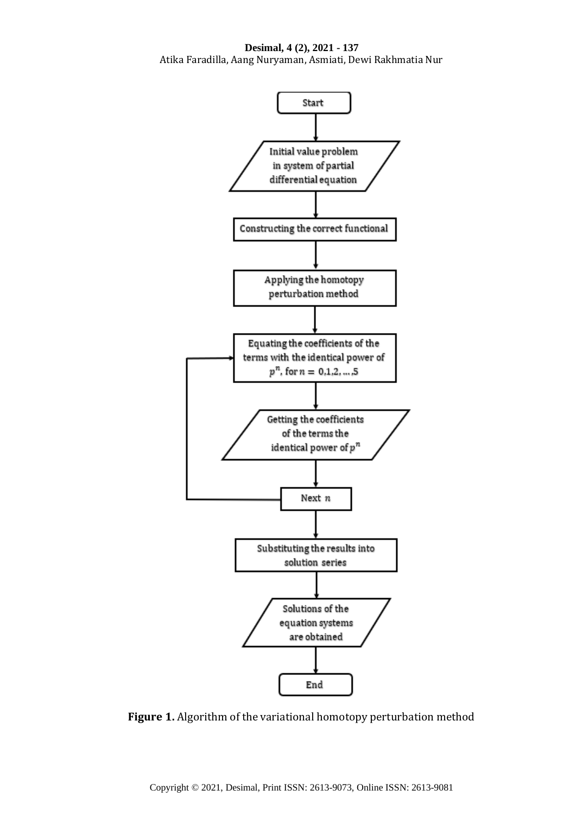**Desimal, 4 (2), 2021 - 137** Atika Faradilla, Aang Nuryaman, Asmiati, Dewi Rakhmatia Nur



**Figure 1.** Algorithm of the variational homotopy perturbation method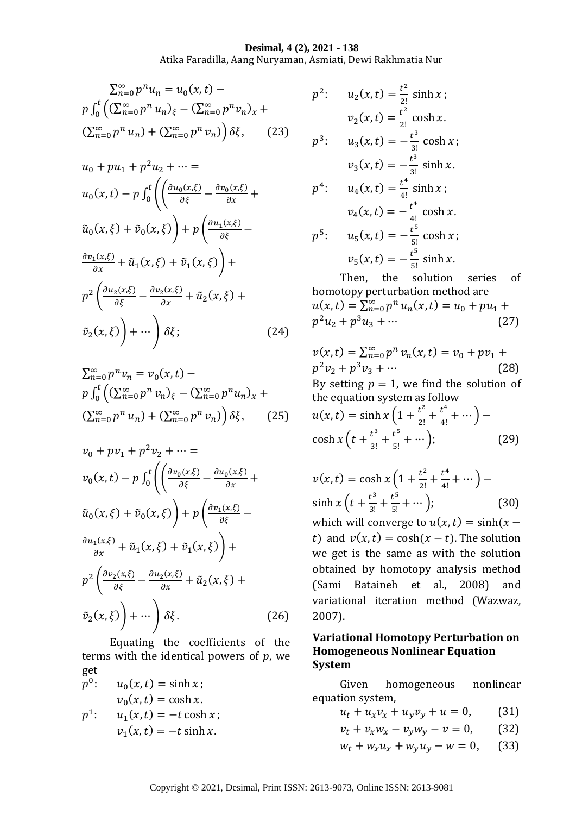#### **Desimal, 4 (2), 2021 - 138**

Atika Faradilla, Aang Nuryaman, Asmiati, Dewi Rakhmatia Nur

$$
\sum_{n=0}^{\infty} p^n u_n = u_0(x, t) - p \int_0^t \left( (\sum_{n=0}^{\infty} p^n u_n)_{\xi} - (\sum_{n=0}^{\infty} p^n v_n)_x + (\sum_{n=0}^{\infty} p^n u_n) + (\sum_{n=0}^{\infty} p^n v_n) \right) \delta \xi,
$$
 (23)

$$
u_0 + pu_1 + p^2 u_2 + \cdots =
$$
  
\n
$$
u_0(x, t) - p \int_0^t \left( \frac{\partial u_0(x, \xi)}{\partial \xi} - \frac{\partial v_0(x, \xi)}{\partial x} + \tilde{u}_0(x, \xi) + \tilde{v}_0(x, \xi) \right) + p \left( \frac{\partial u_1(x, \xi)}{\partial \xi} - \frac{\partial v_1(x, \xi)}{\partial x} + \tilde{u}_1(x, \xi) + \tilde{v}_1(x, \xi) \right) +
$$
  
\n
$$
p^2 \left( \frac{\partial u_2(x, \xi)}{\partial \xi} - \frac{\partial v_2(x, \xi)}{\partial x} + \tilde{u}_2(x, \xi) + \tilde{v}_2(x, \xi) \right) + \cdots \right) \delta \xi; \tag{24}
$$

$$
\sum_{n=0}^{\infty} p^n v_n = v_0(x, t) -
$$
  
\n
$$
p \int_0^t \left( \sum_{n=0}^{\infty} p^n v_n \right)_{\xi} - \left( \sum_{n=0}^{\infty} p^n u_n \right)_{x} +
$$
  
\n
$$
\left( \sum_{n=0}^{\infty} p^n u_n \right) + \left( \sum_{n=0}^{\infty} p^n v_n \right) \delta_{\xi}, \qquad (25)
$$

$$
v_0 + pv_1 + p^2 v_2 + \dots =
$$
  
\n
$$
v_0(x, t) - p \int_0^t \left( \left( \frac{\partial v_0(x, \xi)}{\partial \xi} - \frac{\partial u_0(x, \xi)}{\partial x} + \tilde{u}_0(x, \xi) + \tilde{v}_0(x, \xi) \right) + p \left( \frac{\partial v_1(x, \xi)}{\partial \xi} - \frac{\partial u_1(x, \xi)}{\partial x} + \tilde{u}_1(x, \xi) + \tilde{v}_1(x, \xi) \right) +
$$
  
\n
$$
p^2 \left( \frac{\partial v_2(x, \xi)}{\partial \xi} - \frac{\partial u_2(x, \xi)}{\partial x} + \tilde{u}_2(x, \xi) + \tilde{v}_2(x, \xi) \right) + \dots \right) \delta \xi.
$$
\n(26)

Equating the coefficients of the terms with the identical powers of  $p$ , we get

 $p^0$ :  $u_0(x,t) = \sinh x;$  $v_0(x,t) = \cosh x.$  $p^{\hspace{.1mm}1}$ :  $u_1(x,t) = -t \cosh x ;$  $v_1(x,t) = -t \sinh x.$ 

$$
p^{2}: \t u_{2}(x,t) = \frac{t^{2}}{2!} \sinh x ;
$$
  
\n
$$
v_{2}(x,t) = \frac{t^{2}}{2!} \cosh x .
$$
  
\n
$$
p^{3}: \t u_{3}(x,t) = -\frac{t^{3}}{3!} \cosh x ;
$$
  
\n
$$
v_{3}(x,t) = -\frac{t^{3}}{3!} \sinh x .
$$
  
\n
$$
p^{4}: \t u_{4}(x,t) = \frac{t^{4}}{4!} \sinh x ;
$$
  
\n
$$
v_{4}(x,t) = -\frac{t^{4}}{4!} \cosh x .
$$
  
\n
$$
p^{5}: \t u_{5}(x,t) = -\frac{t^{5}}{5!} \cosh x ;
$$
  
\n
$$
v_{5}(x,t) = -\frac{t^{5}}{5!} \sinh x .
$$

Then, the solution series of homotopy perturbation method are  $u(x,t) = \sum_{n=0}^{\infty} p^n u_n(x,t) = u_0 + p u_1 +$  $p^2u_2 + p^3u_3 + \cdots$  (27)

$$
v(x, t) = \sum_{n=0}^{\infty} p^n v_n(x, t) = v_0 + pv_1 +
$$
  
\n
$$
p^2 v_2 + p^3 v_3 + \cdots
$$
\n(28)  
\nBy setting  $p = 1$ , we find the solution of  
\nthe equation system as follow  
\n
$$
u(x, t) = \sinh x \left( 1 + \frac{t^2}{2!} + \frac{t^4}{4!} + \cdots \right) -
$$
  
\n
$$
\cosh x \left( t + \frac{t^3}{3!} + \frac{t^5}{5!} + \cdots \right);
$$
\n(29)

$$
v(x,t) = \cosh x \left( 1 + \frac{t^2}{2!} + \frac{t^4}{4!} + \cdots \right) -
$$
  
\nsinh  $x \left( t + \frac{t^3}{3!} + \frac{t^5}{5!} + \cdots \right)$ ; (30)

which will converge to  $u(x,t) = \sinh(x$ t) and  $v(x, t) = \cosh(x - t)$ . The solution we get is the same as with the solution obtained by homotopy analysis method (Sami Bataineh et al., 2008) and variational iteration method (Wazwaz, 2007).

### **Variational Homotopy Perturbation on Homogeneous Nonlinear Equation System**

Given homogeneous nonlinear equation system,

- $u_t + u_x v_x + u_y v_y + u = 0,$  (31)
- $v_t + v_x w_x v_y w_y v = 0,$  (32)
- $w_t + w_x u_x + w_y u_y w = 0,$  (33)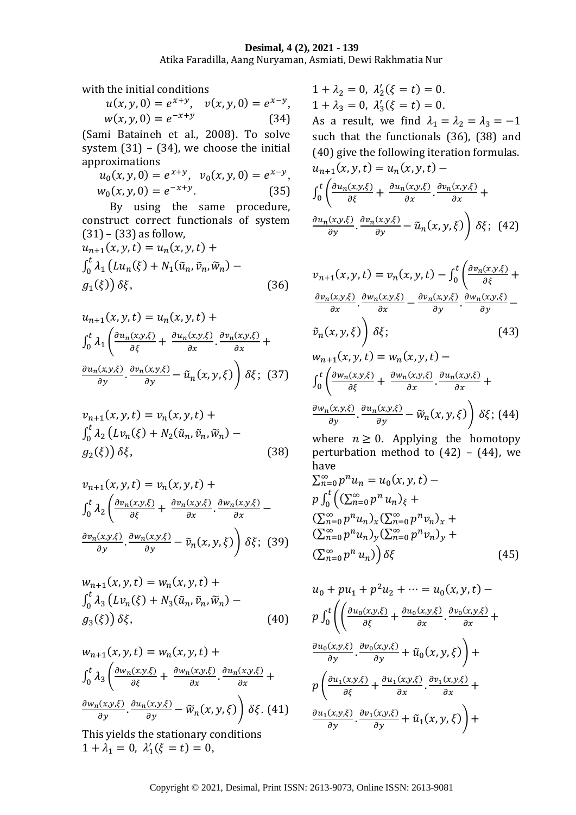#### **Desimal, 4 (2), 2021 - 139**

Atika Faradilla, Aang Nuryaman, Asmiati, Dewi Rakhmatia Nur

with the initial conditions

 $u(x, y, 0) = e^{x+y}, \quad v(x, y, 0) = e^{x-y},$  $w(x, y, 0) = e^{-x+y}$ (34)

(Sami Bataineh et al., 2008). To solve system  $(31) - (34)$ , we choose the initial approximations

$$
u_0(x, y, 0) = e^{x+y}, \quad v_0(x, y, 0) = e^{x-y},
$$
  
\n
$$
w_0(x, y, 0) = e^{-x+y}.
$$
\n(35)

By using the same procedure, construct correct functionals of system  $(31) - (33)$  as follow,

$$
u_{n+1}(x, y, t) = u_n(x, y, t) +
$$
  

$$
\int_0^t \lambda_1 \left( Lu_n(\xi) + N_1(\tilde{u}_n, \tilde{v}_n, \tilde{w}_n) -
$$
  

$$
g_1(\xi) \right) \delta \xi,
$$
 (36)

$$
u_{n+1}(x, y, t) = u_n(x, y, t) +
$$
  
\n
$$
\int_0^t \lambda_1 \left( \frac{\partial u_n(x, y, \xi)}{\partial \xi} + \frac{\partial u_n(x, y, \xi)}{\partial x} \cdot \frac{\partial v_n(x, y, \xi)}{\partial x} + \frac{\partial u_n(x, y, \xi)}{\partial y} \cdot \frac{\partial v_n(x, y, \xi)}{\partial y} - \tilde{u}_n(x, y, \xi) \right) \delta \xi; \quad (37)
$$

$$
v_{n+1}(x, y, t) = v_n(x, y, t) +
$$
  

$$
\int_0^t \lambda_2 \left( Lv_n(\xi) + N_2(\tilde{u}_n, \tilde{v}_n, \tilde{w}_n) - g_2(\xi) \right) \delta \xi,
$$
 (38)

$$
v_{n+1}(x, y, t) = v_n(x, y, t) +
$$
  
\n
$$
\int_0^t \lambda_2 \left( \frac{\partial v_n(x, y, \xi)}{\partial \xi} + \frac{\partial v_n(x, y, \xi)}{\partial x} \cdot \frac{\partial w_n(x, y, \xi)}{\partial x} - \frac{\partial v_n(x, y, \xi)}{\partial y} \cdot \frac{\partial w_n(x, y, \xi)}{\partial y} - \tilde{v}_n(x, y, \xi) \right) \delta \xi; \quad (39)
$$

$$
w_{n+1}(x, y, t) = w_n(x, y, t) +
$$
  

$$
\int_0^t \lambda_3 \left( Lv_n(\xi) + N_3(\tilde{u}_n, \tilde{v}_n, \tilde{w}_n) - g_3(\xi) \right) \delta \xi,
$$
 (40)

$$
w_{n+1}(x, y, t) = w_n(x, y, t) +
$$
  
\n
$$
\int_0^t \lambda_3 \left( \frac{\partial w_n(x, y, \xi)}{\partial \xi} + \frac{\partial w_n(x, y, \xi)}{\partial x} \cdot \frac{\partial u_n(x, y, \xi)}{\partial x} + \frac{\partial w_n(x, y, \xi)}{\partial y} \cdot \frac{\partial u_n(x, y, \xi)}{\partial y} - \widetilde{w}_n(x, y, \xi) \right) \delta \xi.
$$
 (41)

This yields the stationary conditions  $1 + \lambda_1 = 0, \ \lambda'_1(\xi = t) = 0,$ 

 $1 + \lambda_2 = 0, \lambda'_2(\xi = t) = 0.$  $1 + \lambda_3 = 0, \lambda'_3(\xi = t) = 0.$ 

As a result, we find  $\lambda_1 = \lambda_2 = \lambda_3 = -1$ such that the functionals (36), (38) and (40) give the following iteration formulas.

$$
u_{n+1}(x, y, t) = u_n(x, y, t) -
$$
  

$$
\int_0^t \left( \frac{\partial u_n(x, y, \xi)}{\partial \xi} + \frac{\partial u_n(x, y, \xi)}{\partial x} \cdot \frac{\partial v_n(x, y, \xi)}{\partial x} + \frac{\partial u_n(x, y, \xi)}{\partial y} \cdot \frac{\partial v_n(x, y, \xi)}{\partial y} - \tilde{u}_n(x, y, \xi) \right) \delta \xi; \quad (42)
$$

$$
v_{n+1}(x, y, t) = v_n(x, y, t) - \int_0^t \left( \frac{\partial v_n(x, y, \xi)}{\partial \xi} + \frac{\partial v_n(x, y, \xi)}{\partial x} \cdot \frac{\partial w_n(x, y, \xi)}{\partial x} - \frac{\partial v_n(x, y, \xi)}{\partial y} \cdot \frac{\partial w_n(x, y, \xi)}{\partial y} - \frac{\partial v_n(x, y, \xi)}{\partial y} \cdot \frac{\partial w_n(x, y, \xi)}{\partial y} + \frac{\partial v_n(x, y, t)}{\partial x} + \frac{\partial w_n(x, y, \xi)}{\partial x} \cdot \frac{\partial u_n(x, y, \xi)}{\partial x} + \frac{\partial w_n(x, y, \xi)}{\partial y} \cdot \frac{\partial u_n(x, y, \xi)}{\partial y} - \widetilde{w}_n(x, y, \xi) \right) \delta \xi; (44)
$$

where  $n \geq 0$ . Applying the homotopy perturbation method to  $(42) - (44)$ , we have

$$
\sum_{n=0}^{\infty} p^n u_n = u_0(x, y, t) - p \int_0^t \left( (\sum_{n=0}^{\infty} p^n u_n)_{\xi} + (\sum_{n=0}^{\infty} p^n u_n)_x (\sum_{n=0}^{\infty} p^n v_n)_x + (\sum_{n=0}^{\infty} p^n u_n)_y (\sum_{n=0}^{\infty} p^n v_n)_y + (\sum_{n=0}^{\infty} p^n u_n) \right) \delta\xi
$$
 (45)

$$
u_0 + pu_1 + p^2 u_2 + \cdots = u_0(x, y, t) -
$$
\n
$$
p \int_0^t \left( \frac{\partial u_0(x, y, \xi)}{\partial \xi} + \frac{\partial u_0(x, y, \xi)}{\partial x} \cdot \frac{\partial v_0(x, y, \xi)}{\partial x} + \frac{\partial u_0(x, y, \xi)}{\partial y} \cdot \frac{\partial v_0(x, y, \xi)}{\partial y} + \tilde{u}_0(x, y, \xi) \right) +
$$
\n
$$
p \left( \frac{\partial u_1(x, y, \xi)}{\partial \xi} + \frac{\partial u_1(x, y, \xi)}{\partial x} \cdot \frac{\partial v_1(x, y, \xi)}{\partial x} + \frac{\partial u_1(x, y, \xi)}{\partial y} \cdot \frac{\partial v_1(x, y, \xi)}{\partial y} + \tilde{u}_1(x, y, \xi) \right) +
$$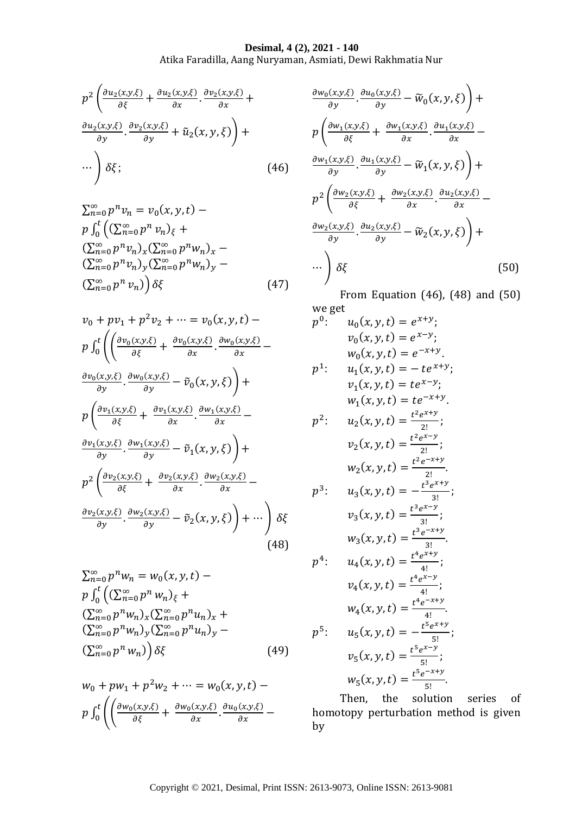#### **Desimal, 4 (2), 2021 - 140**

Atika Faradilla, Aang Nuryaman, Asmiati, Dewi Rakhmatia Nur

$$
p^{2}\left(\frac{\partial u_{2}(x,y,\xi)}{\partial \xi} + \frac{\partial u_{2}(x,y,\xi)}{\partial x} \cdot \frac{\partial v_{2}(x,y,\xi)}{\partial x} + \frac{\partial u_{2}(x,y,\xi)}{\partial y} \cdot \frac{\partial v_{2}(x,y,\xi)}{\partial y} + \tilde{u}_{2}(x,y,\xi)\right) + \cdots \right) \delta \xi; \tag{46}
$$

$$
\sum_{n=0}^{\infty} p^n v_n = v_0(x, y, t) - p \int_0^t \left( (\sum_{n=0}^{\infty} p^n v_n)_{\xi} + (\sum_{n=0}^{\infty} p^n v_n)_{x} (\sum_{n=0}^{\infty} p^n w_n)_{x} - (\sum_{n=0}^{\infty} p^n v_n)_{y} (\sum_{n=0}^{\infty} p^n w_n)_{y} - (\sum_{n=0}^{\infty} p^n v_n) \right) \delta \xi
$$
 (47)

$$
v_0 + pv_1 + p^2 v_2 + \dots = v_0(x, y, t) -
$$
\n
$$
p \int_0^t \left( \left( \frac{\partial v_0(x, y, \xi)}{\partial \xi} + \frac{\partial v_0(x, y, \xi)}{\partial x} \cdot \frac{\partial w_0(x, y, \xi)}{\partial x} - \frac{\partial v_0(x, y, \xi)}{\partial y} \cdot \frac{\partial w_0(x, y, \xi)}{\partial y} - \tilde{v}_0(x, y, \xi) \right) +
$$
\n
$$
p \left( \frac{\partial v_1(x, y, \xi)}{\partial \xi} + \frac{\partial v_1(x, y, \xi)}{\partial x} \cdot \frac{\partial w_1(x, y, \xi)}{\partial x} - \frac{\partial v_1(x, y, \xi)}{\partial y} \cdot \frac{\partial w_1(x, y, \xi)}{\partial y} - \tilde{v}_1(x, y, \xi) \right) +
$$
\n
$$
p^2 \left( \frac{\partial v_2(x, y, \xi)}{\partial \xi} + \frac{\partial v_2(x, y, \xi)}{\partial x} \cdot \frac{\partial w_2(x, y, \xi)}{\partial x} - \frac{\partial w_2(x, y, \xi)}{\partial y} \cdot \frac{\partial w_2(x, y, \xi)}{\partial y} - \tilde{v}_2(x, y, \xi) \right) + \dots \right) \delta \xi
$$
\n(48)

$$
\sum_{n=0}^{\infty} p^n w_n = w_0(x, y, t) -
$$
\n
$$
p \int_0^t \left( \sum_{n=0}^{\infty} p^n w_n \right)_{\xi} +
$$
\n
$$
\left( \sum_{n=0}^{\infty} p^n w_n \right)_{x} \left( \sum_{n=0}^{\infty} p^n u_n \right)_{x} +
$$
\n
$$
\left( \sum_{n=0}^{\infty} p^n w_n \right)_{y} \left( \sum_{n=0}^{\infty} p^n u_n \right)_{y} -
$$
\n
$$
\left( \sum_{n=0}^{\infty} p^n w_n \right) \left( \delta \right) \tag{49}
$$

 $w_0 + pw_1 + p^2 w_2 + \dots = w_0(x, y, t)$  $p \int_0^t \left( \frac{\partial w_0(x,y,\xi)}{\partial \xi} + \frac{\partial w_0(x,y,\xi)}{\partial x} \cdot \frac{\partial u_0(x,y,\xi)}{\partial x} - \right)$ 0

$$
\frac{\partial w_0(x,y,\xi)}{\partial y} \cdot \frac{\partial u_0(x,y,\xi)}{\partial y} - \widetilde{w}_0(x,y,\xi) + \frac{\partial w_1(x,y,\xi)}{\partial x} \cdot \frac{\partial u_1(x,y,\xi)}{\partial x} - \frac{\partial w_1(x,y,\xi)}{\partial y} \cdot \frac{\partial u_1(x,y,\xi)}{\partial y} - \widetilde{w}_1(x,y,\xi) + \frac{\partial w_1(x,y,\xi)}{\partial y} \cdot \frac{\partial u_1(x,y,\xi)}{\partial x} - \frac{\partial w_2(x,y,\xi)}{\partial x} \cdot \frac{\partial u_2(x,y,\xi)}{\partial x} - \frac{\partial w_2(x,y,\xi)}{\partial y} \cdot \frac{\partial u_2(x,y,\xi)}{\partial y} - \widetilde{w}_2(x,y,\xi) + \cdots \right) \delta\xi
$$
\n(50)

From Equation (46), (48) and (50) we get

$$
p^{0}: \t u_{0}(x, y, t) = e^{x+y};
$$
  
\n
$$
v_{0}(x, y, t) = e^{x-y};
$$
  
\n
$$
w_{0}(x, y, t) = e^{-x+y};
$$
  
\n
$$
v_{1}(x, y, t) = -te^{x+y};
$$
  
\n
$$
v_{1}(x, y, t) = te^{x-y};
$$
  
\n
$$
w_{1}(x, y, t) = te^{x-y};
$$
  
\n
$$
v_{2}(x, y, t) = \frac{t^{2}e^{x+y}}{2!};
$$
  
\n
$$
v_{2}(x, y, t) = \frac{t^{2}e^{x-y}}{2!};
$$
  
\n
$$
w_{2}(x, y, t) = \frac{t^{3}e^{x-y}}{2!};
$$
  
\n
$$
v_{3}(x, y, t) = -\frac{t^{3}e^{x-y}}{3!};
$$
  
\n
$$
v_{3}(x, y, t) = \frac{t^{3}e^{x-y}}{3!};
$$
  
\n
$$
v_{4}(x, y, t) = \frac{t^{4}e^{x+y}}{4!};
$$
  
\n
$$
v_{4}(x, y, t) = \frac{t^{4}e^{x+y}}{4!};
$$
  
\n
$$
v_{5}(x, y, t) = -\frac{t^{5}e^{x+y}}{5!};
$$
  
\n
$$
v_{5}(x, y, t) = \frac{t^{5}e^{x-y}}{5!};
$$
  
\n
$$
v_{5}(x, y, t) = \frac{t^{5}e^{x-y}}{5!};
$$
  
\n
$$
w_{5}(x, y, t) = \frac{t^{5}e^{x-y}}{5!};
$$
  
\n
$$
w_{6}(x, y, t) = \frac{t^{5}e^{x-y}}{5!};
$$
  
\n
$$
w_{7}(x, y, t) = \frac{t^{5}e^{x-y}}{5!};
$$
  
\n
$$
w_{8}(x, y, t) = \frac{t^{5}e^{x-y}}{5!};
$$

Then, the solution series of homotopy perturbation method is given by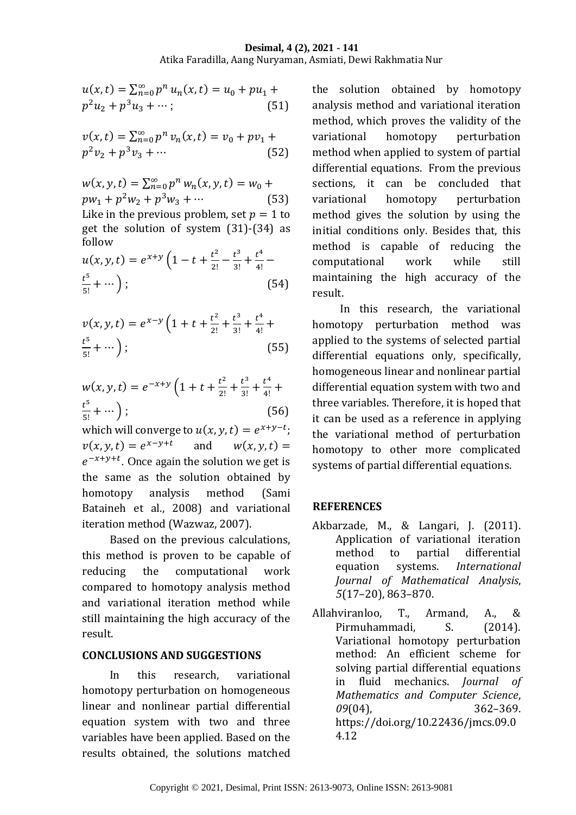#### **Desimal, 4 (2), 2021 - 141** Atika Faradilla, Aang Nuryaman, Asmiati, Dewi Rakhmatia Nur

$$
u(x,t) = \sum_{n=0}^{\infty} p^n u_n(x,t) = u_0 + pu_1 + p^2 u_2 + p^3 u_3 + \cdots; \tag{51}
$$

$$
v(x,t) = \sum_{n=0}^{\infty} p^n v_n(x,t) = v_0 + pv_1 + p^2 v_2 + p^3 v_3 + \cdots
$$
\n(52)

 $w(x, y, t) = \sum_{n=0}^{\infty} p^n w_n(x, y, t) = w_0 +$  $pw_1 + p^2w_2 + p^3w_3 + \cdots$  (53) Like in the previous problem, set  $p = 1$  to get the solution of system (31)-(34) as follow

$$
u(x, y, t) = e^{x+y} \left( 1 - t + \frac{t^2}{2!} - \frac{t^3}{3!} + \frac{t^4}{4!} - t^{\frac{5}{3}} + \cdots \right);
$$
\n(54)

$$
v(x, y, t) = e^{x-y} \left( 1 + t + \frac{t^2}{2!} + \frac{t^3}{3!} + \frac{t^4}{4!} + \frac{t^5}{5!} + \cdots \right);
$$
\n(55)

$$
w(x, y, t) = e^{-x+y} \left( 1 + t + \frac{t^2}{2!} + \frac{t^3}{3!} + \frac{t^4}{4!} + \frac{t^5}{5!} + \cdots \right);
$$
\n(56)

which will converge to  $u(x, y, t) = e^{x+y-t}$ ;  $v(x, y, t) = e^{x-y+t}$ and  $w(x, y, t) =$  $e^{-x+y+t}$ . Once again the solution we get is the same as the solution obtained by homotopy analysis method (Sami Bataineh et al., 2008) and variational iteration method (Wazwaz, 2007).

Based on the previous calculations, this method is proven to be capable of reducing the computational work compared to homotopy analysis method and variational iteration method while still maintaining the high accuracy of the result.

#### **CONCLUSIONS AND SUGGESTIONS**

In this research, variational homotopy perturbation on homogeneous linear and nonlinear partial differential equation system with two and three variables have been applied. Based on the results obtained, the solutions matched

the solution obtained by homotopy analysis method and variational iteration method, which proves the validity of the variational homotopy perturbation method when applied to system of partial differential equations. From the previous sections, it can be concluded that variational homotopy perturbation method gives the solution by using the initial conditions only. Besides that, this method is capable of reducing the computational work while still maintaining the high accuracy of the result.

In this research, the variational homotopy perturbation method was applied to the systems of selected partial differential equations only, specifically, homogeneous linear and nonlinear partial differential equation system with two and three variables. Therefore, it is hoped that it can be used as a reference in applying the variational method of perturbation homotopy to other more complicated systems of partial differential equations.

## **REFERENCES**

- Akbarzade, M., & Langari, J. (2011). Application of variational iteration method to partial differential equation systems. *International Journal of Mathematical Analysis*, *5*(17–20), 863–870.
- Allahviranloo, T., Armand, A., & Pirmuhammadi. S. (2014). Variational homotopy perturbation method: An efficient scheme for solving partial differential equations in fluid mechanics. *Journal of Mathematics and Computer Science*, *09*(04), 362–369. https://doi.org/10.22436/jmcs.09.0 4.12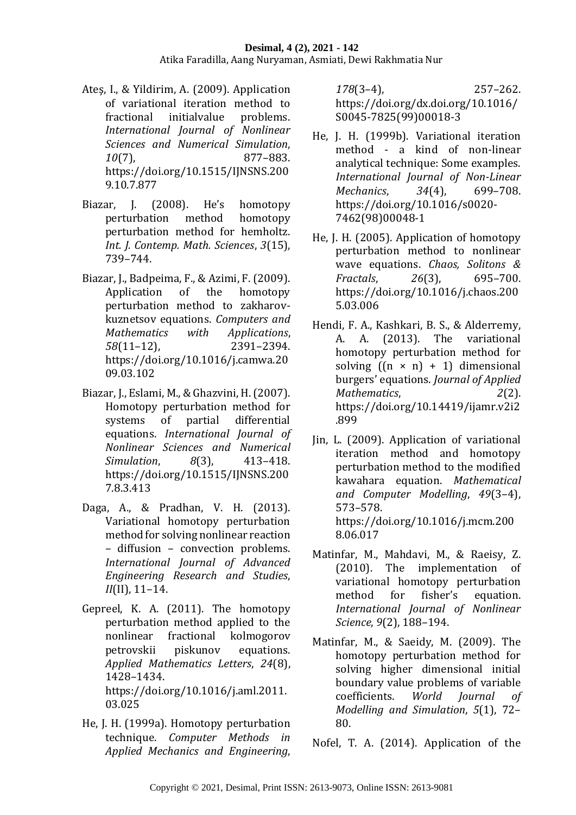- Ateş, I., & Yildirim, A. (2009). Application of variational iteration method to fractional initialvalue problems. *International Journal of Nonlinear Sciences and Numerical Simulation*, *10*(7), 877–883. https://doi.org/10.1515/IJNSNS.200 9.10.7.877
- Biazar, J. (2008). He's homotopy perturbation method homotopy perturbation method for hemholtz. *Int. J. Contemp. Math. Sciences*, *3*(15), 739–744.
- Biazar, J., Badpeima, F., & Azimi, F. (2009). Application of the homotopy perturbation method to zakharovkuznetsov equations. *Computers and Mathematics with Applications*, *58*(11–12), 2391–2394. https://doi.org/10.1016/j.camwa.20 09.03.102
- Biazar, J., Eslami, M., & Ghazvini, H. (2007). Homotopy perturbation method for systems of partial differential equations. *International Journal of Nonlinear Sciences and Numerical Simulation*, *8*(3), 413–418. https://doi.org/10.1515/IJNSNS.200 7.8.3.413
- Daga, A., & Pradhan, V. H. (2013). Variational homotopy perturbation method for solving nonlinear reaction – diffusion – convection problems. *International Journal of Advanced Engineering Research and Studies*, *II*(II), 11–14.
- Gepreel, K. A. (2011). The homotopy perturbation method applied to the nonlinear fractional kolmogorov petrovskii piskunov equations. *Applied Mathematics Letters*, *24*(8), 1428–1434. https://doi.org/10.1016/j.aml.2011. 03.025
- He, J. H. (1999a). Homotopy perturbation technique. *Computer Methods in Applied Mechanics and Engineering*,

*178*(3–4), 257–262. https://doi.org/dx.doi.org/10.1016/ S0045-7825(99)00018-3

- He, J. H. (1999b). Variational iteration method - a kind of non-linear analytical technique: Some examples. *International Journal of Non-Linear Mechanics*, *34*(4), 699–708. https://doi.org/10.1016/s0020- 7462(98)00048-1
- He, J. H. (2005). Application of homotopy perturbation method to nonlinear wave equations. *Chaos, Solitons & Fractals*, *26*(3), 695–700. https://doi.org/10.1016/j.chaos.200 5.03.006
- Hendi, F. A., Kashkari, B. S., & Alderremy, A. A. (2013). The variational homotopy perturbation method for solving  $((n \times n) + 1)$  dimensional burgers' equations. *Journal of Applied Mathematics*, *2*(2). https://doi.org/10.14419/ijamr.v2i2 .899
- Jin, L. (2009). Application of variational iteration method and homotopy perturbation method to the modified kawahara equation. *Mathematical and Computer Modelling*, *49*(3–4), 573–578. https://doi.org/10.1016/j.mcm.200 8.06.017
- Matinfar, M., Mahdavi, M., & Raeisy, Z. (2010). The implementation of variational homotopy perturbation method for fisher's equation. *International Journal of Nonlinear Science*, *9*(2), 188–194.
- Matinfar, M., & Saeidy, M. (2009). The homotopy perturbation method for solving higher dimensional initial boundary value problems of variable coefficients. *World Journal of Modelling and Simulation*, *5*(1), 72– 80.
- Nofel, T. A. (2014). Application of the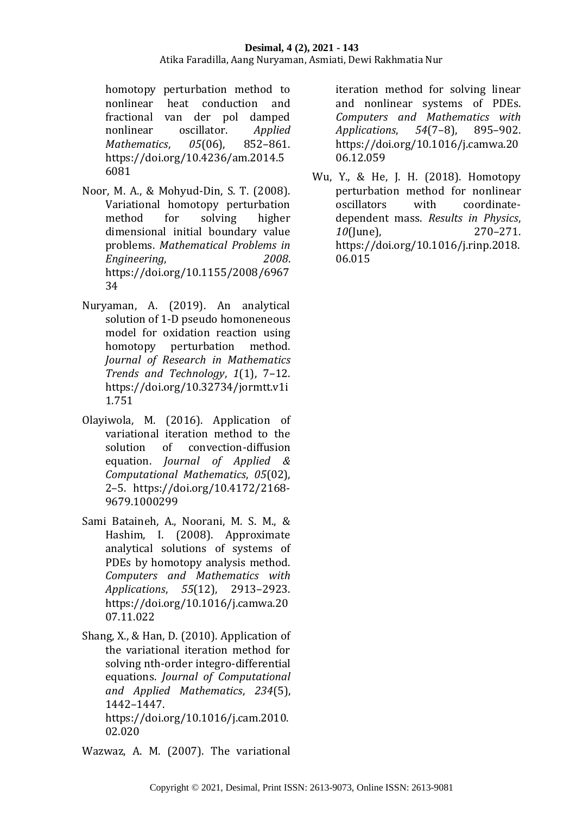homotopy perturbation method to nonlinear heat conduction and fractional van der pol damped nonlinear oscillator. *Applied Mathematics*, *05*(06), 852–861. https://doi.org/10.4236/am.2014.5 6081

- Noor, M. A., & Mohyud-Din, S. T. (2008). Variational homotopy perturbation method for solving higher dimensional initial boundary value problems. *Mathematical Problems in Engineering*, *2008*. https://doi.org/10.1155/2008/6967 34
- Nuryaman, A. (2019). An analytical solution of 1-D pseudo homoneneous model for oxidation reaction using homotopy perturbation method. *Journal of Research in Mathematics Trends and Technology*, *1*(1), 7–12. https://doi.org/10.32734/jormtt.v1i 1.751
- Olayiwola, M. (2016). Application of variational iteration method to the solution of convection-diffusion equation. *Journal of Applied & Computational Mathematics*, *05*(02), 2–5. https://doi.org/10.4172/2168- 9679.1000299
- Sami Bataineh, A., Noorani, M. S. M., & Hashim, I. (2008). Approximate analytical solutions of systems of PDEs by homotopy analysis method. *Computers and Mathematics with Applications*, *55*(12), 2913–2923. https://doi.org/10.1016/j.camwa.20 07.11.022
- Shang, X., & Han, D. (2010). Application of the variational iteration method for solving nth-order integro-differential equations. *Journal of Computational and Applied Mathematics*, *234*(5), 1442–1447. https://doi.org/10.1016/j.cam.2010. 02.020

Wazwaz, A. M. (2007). The variational

iteration method for solving linear and nonlinear systems of PDEs. *Computers and Mathematics with Applications*, *54*(7–8), 895–902. https://doi.org/10.1016/j.camwa.20 06.12.059

Wu, Y., & He, J. H. (2018). Homotopy perturbation method for nonlinear oscillators with coordinatedependent mass. *Results in Physics*, *10*(June), 270–271. https://doi.org/10.1016/j.rinp.2018. 06.015